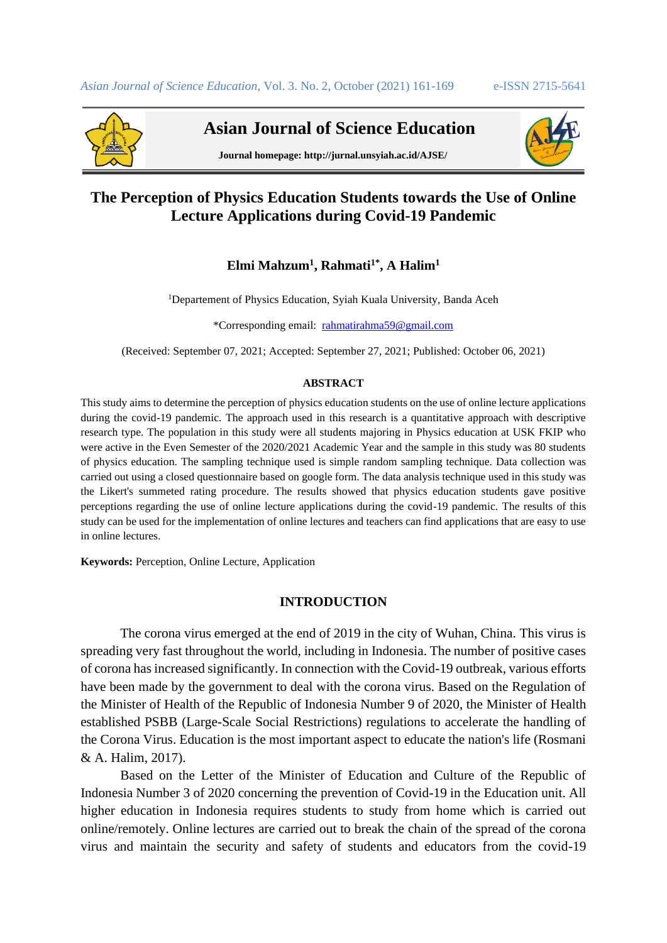

 **Asian Journal of Science Education**



**Journal homepage: http://jurnal.unsyiah.ac.id/AJSE/**

# **The Perception of Physics Education Students towards the Use of Online Lecture Applications during Covid-19 Pandemic**

## **Elmi Mahzum<sup>1</sup> , Rahmati1\* , A Halim<sup>1</sup>**

<sup>1</sup>Departement of Physics Education, Syiah Kuala University, Banda Aceh

\*Corresponding email: [rahmatirahma59@gmail.com](mailto:rahmatirahma59@gmail.com)

(Received: September 07, 2021; Accepted: September 27, 2021; Published: October 06, 2021)

#### **ABSTRACT**

This study aims to determine the perception of physics education students on the use of online lecture applications during the covid-19 pandemic. The approach used in this research is a quantitative approach with descriptive research type. The population in this study were all students majoring in Physics education at USK FKIP who were active in the Even Semester of the 2020/2021 Academic Year and the sample in this study was 80 students of physics education. The sampling technique used is simple random sampling technique. Data collection was carried out using a closed questionnaire based on google form. The data analysis technique used in this study was the Likert's summeted rating procedure. The results showed that physics education students gave positive perceptions regarding the use of online lecture applications during the covid-19 pandemic. The results of this study can be used for the implementation of online lectures and teachers can find applications that are easy to use in online lectures.

**Keywords:** Perception, Online Lecture, Application

## **INTRODUCTION**

The corona virus emerged at the end of 2019 in the city of Wuhan, China. This virus is spreading very fast throughout the world, including in Indonesia. The number of positive cases of corona has increased significantly. In connection with the Covid-19 outbreak, various efforts have been made by the government to deal with the corona virus. Based on the Regulation of the Minister of Health of the Republic of Indonesia Number 9 of 2020, the Minister of Health established PSBB (Large-Scale Social Restrictions) regulations to accelerate the handling of the Corona Virus. Education is the most important aspect to educate the nation's life (Rosmani & A. Halim, 2017).

Based on the Letter of the Minister of Education and Culture of the Republic of Indonesia Number 3 of 2020 concerning the prevention of Covid-19 in the Education unit. All higher education in Indonesia requires students to study from home which is carried out online/remotely. Online lectures are carried out to break the chain of the spread of the corona virus and maintain the security and safety of students and educators from the covid-19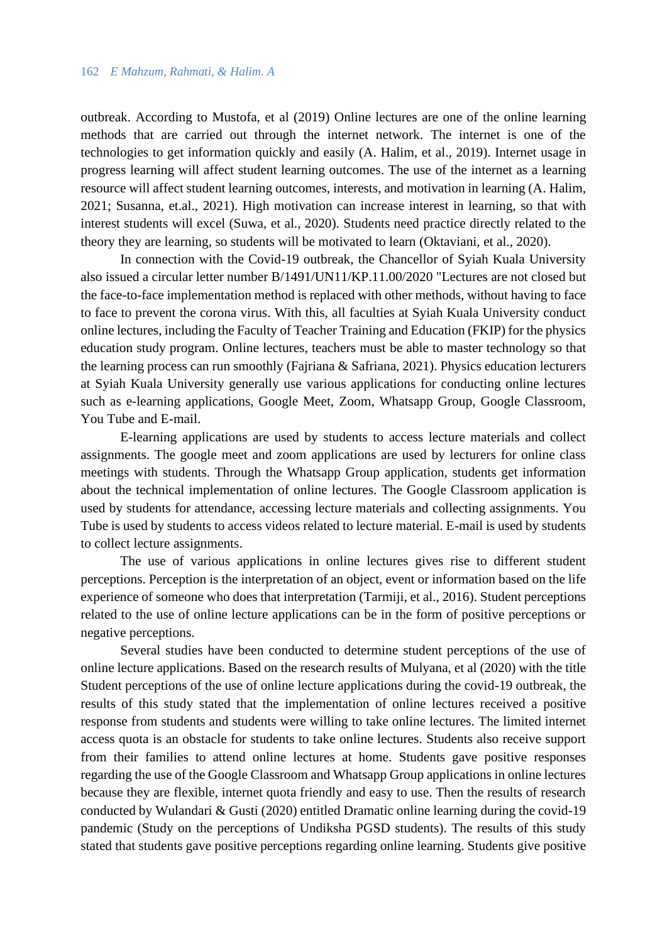outbreak. According to Mustofa, et al (2019) Online lectures are one of the online learning methods that are carried out through the internet network. The internet is one of the technologies to get information quickly and easily (A. Halim, et al., 2019). Internet usage in progress learning will affect student learning outcomes. The use of the internet as a learning resource will affect student learning outcomes, interests, and motivation in learning (A. Halim, 2021; Susanna, et.al., 2021). High motivation can increase interest in learning, so that with interest students will excel (Suwa, et al., 2020). Students need practice directly related to the theory they are learning, so students will be motivated to learn (Oktaviani, et al., 2020).

In connection with the Covid-19 outbreak, the Chancellor of Syiah Kuala University also issued a circular letter number B/1491/UN11/KP.11.00/2020 "Lectures are not closed but the face-to-face implementation method is replaced with other methods, without having to face to face to prevent the corona virus. With this, all faculties at Syiah Kuala University conduct online lectures, including the Faculty of Teacher Training and Education (FKIP) for the physics education study program. Online lectures, teachers must be able to master technology so that the learning process can run smoothly (Fajriana & Safriana, 2021). Physics education lecturers at Syiah Kuala University generally use various applications for conducting online lectures such as e-learning applications, Google Meet, Zoom, Whatsapp Group, Google Classroom, You Tube and E-mail.

E-learning applications are used by students to access lecture materials and collect assignments. The google meet and zoom applications are used by lecturers for online class meetings with students. Through the Whatsapp Group application, students get information about the technical implementation of online lectures. The Google Classroom application is used by students for attendance, accessing lecture materials and collecting assignments. You Tube is used by students to access videos related to lecture material. E-mail is used by students to collect lecture assignments.

The use of various applications in online lectures gives rise to different student perceptions. Perception is the interpretation of an object, event or information based on the life experience of someone who does that interpretation (Tarmiji, et al., 2016). Student perceptions related to the use of online lecture applications can be in the form of positive perceptions or negative perceptions.

Several studies have been conducted to determine student perceptions of the use of online lecture applications. Based on the research results of Mulyana, et al (2020) with the title Student perceptions of the use of online lecture applications during the covid-19 outbreak, the results of this study stated that the implementation of online lectures received a positive response from students and students were willing to take online lectures. The limited internet access quota is an obstacle for students to take online lectures. Students also receive support from their families to attend online lectures at home. Students gave positive responses regarding the use of the Google Classroom and Whatsapp Group applications in online lectures because they are flexible, internet quota friendly and easy to use. Then the results of research conducted by Wulandari & Gusti (2020) entitled Dramatic online learning during the covid-19 pandemic (Study on the perceptions of Undiksha PGSD students). The results of this study stated that students gave positive perceptions regarding online learning. Students give positive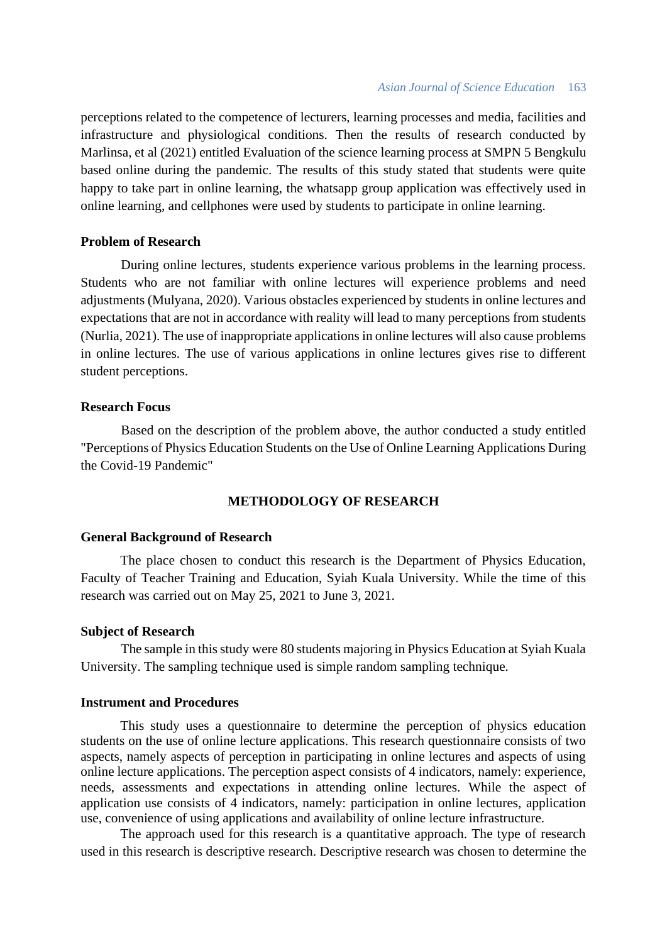perceptions related to the competence of lecturers, learning processes and media, facilities and infrastructure and physiological conditions. Then the results of research conducted by Marlinsa, et al (2021) entitled Evaluation of the science learning process at SMPN 5 Bengkulu based online during the pandemic. The results of this study stated that students were quite happy to take part in online learning, the whatsapp group application was effectively used in online learning, and cellphones were used by students to participate in online learning.

## **Problem of Research**

During online lectures, students experience various problems in the learning process. Students who are not familiar with online lectures will experience problems and need adjustments (Mulyana, 2020). Various obstacles experienced by students in online lectures and expectations that are not in accordance with reality will lead to many perceptions from students (Nurlia, 2021). The use of inappropriate applications in online lectures will also cause problems in online lectures. The use of various applications in online lectures gives rise to different student perceptions.

## **Research Focus**

Based on the description of the problem above, the author conducted a study entitled "Perceptions of Physics Education Students on the Use of Online Learning Applications During the Covid-19 Pandemic"

## **METHODOLOGY OF RESEARCH**

## **General Background of Research**

The place chosen to conduct this research is the Department of Physics Education, Faculty of Teacher Training and Education, Syiah Kuala University. While the time of this research was carried out on May 25, 2021 to June 3, 2021.

## **Subject of Research**

The sample in this study were 80 students majoring in Physics Education at Syiah Kuala University. The sampling technique used is simple random sampling technique.

## **Instrument and Procedures**

This study uses a questionnaire to determine the perception of physics education students on the use of online lecture applications. This research questionnaire consists of two aspects, namely aspects of perception in participating in online lectures and aspects of using online lecture applications. The perception aspect consists of 4 indicators, namely: experience, needs, assessments and expectations in attending online lectures. While the aspect of application use consists of 4 indicators, namely: participation in online lectures, application use, convenience of using applications and availability of online lecture infrastructure.

The approach used for this research is a quantitative approach. The type of research used in this research is descriptive research. Descriptive research was chosen to determine the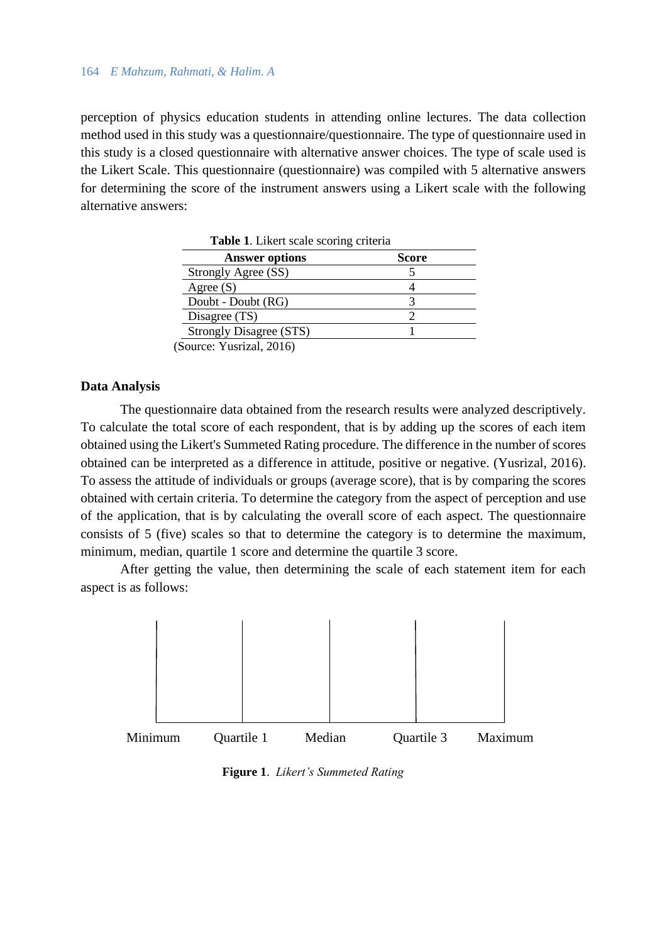## 164 *E Mahzum, Rahmati, & Halim. A*

perception of physics education students in attending online lectures. The data collection method used in this study was a questionnaire/questionnaire. The type of questionnaire used in this study is a closed questionnaire with alternative answer choices. The type of scale used is the Likert Scale. This questionnaire (questionnaire) was compiled with 5 alternative answers for determining the score of the instrument answers using a Likert scale with the following alternative answers:

| Table 1. Likert scale scoring criteria |
|----------------------------------------|
| <b>Score</b>                           |
|                                        |
|                                        |
|                                        |
|                                        |
|                                        |
|                                        |

(Source: Yusrizal, 2016)

## **Data Analysis**

The questionnaire data obtained from the research results were analyzed descriptively. To calculate the total score of each respondent, that is by adding up the scores of each item obtained using the Likert's Summeted Rating procedure. The difference in the number of scores obtained can be interpreted as a difference in attitude, positive or negative. (Yusrizal, 2016). To assess the attitude of individuals or groups (average score), that is by comparing the scores obtained with certain criteria. To determine the category from the aspect of perception and use of the application, that is by calculating the overall score of each aspect. The questionnaire consists of 5 (five) scales so that to determine the category is to determine the maximum, minimum, median, quartile 1 score and determine the quartile 3 score.

After getting the value, then determining the scale of each statement item for each aspect is as follows:



 **Figure 1**. *Likert's Summeted Rating*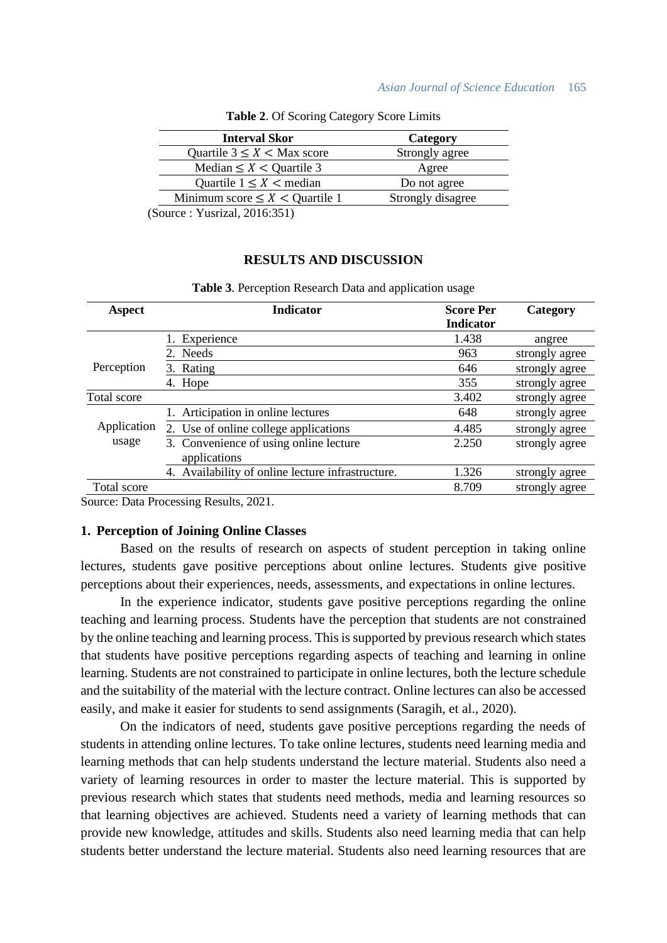#### *Asian Journal of Science Education* 165

|        | <b>Interval Skor</b>                                                                                                                                                                                                                                                                                                               | Category          |
|--------|------------------------------------------------------------------------------------------------------------------------------------------------------------------------------------------------------------------------------------------------------------------------------------------------------------------------------------|-------------------|
|        | Quartile $3 \leq X <$ Max score                                                                                                                                                                                                                                                                                                    | Strongly agree    |
|        | Median $\leq X <$ Quartile 3                                                                                                                                                                                                                                                                                                       | Agree             |
|        | Quartile $1 \leq X$ < median                                                                                                                                                                                                                                                                                                       | Do not agree      |
|        | Minimum score $\leq X$ < Quartile 1                                                                                                                                                                                                                                                                                                | Strongly disagree |
| $\sim$ | $\mathbf{v}$ $\mathbf{v}$ $\mathbf{v}$ $\mathbf{v}$ $\mathbf{v}$ $\mathbf{v}$ $\mathbf{v}$ $\mathbf{v}$ $\mathbf{v}$ $\mathbf{v}$ $\mathbf{v}$ $\mathbf{v}$ $\mathbf{v}$ $\mathbf{v}$ $\mathbf{v}$ $\mathbf{v}$ $\mathbf{v}$ $\mathbf{v}$ $\mathbf{v}$ $\mathbf{v}$ $\mathbf{v}$ $\mathbf{v}$ $\mathbf{v}$ $\mathbf{v}$ $\mathbf{$ |                   |

**Table 2**. Of Scoring Category Score Limits

(Source : Yusrizal, 2016:351)

#### **RESULTS AND DISCUSSION**

| <b>Aspect</b> | <b>Indicator</b>                                       | <b>Score Per</b><br><b>Indicator</b> | Category       |
|---------------|--------------------------------------------------------|--------------------------------------|----------------|
|               | Experience                                             | 1.438                                | angree         |
|               | 2. Needs                                               | 963                                  | strongly agree |
| Perception    | 3. Rating                                              | 646                                  | strongly agree |
|               | 4. Hope                                                | 355                                  | strongly agree |
| Total score   |                                                        | 3.402                                | strongly agree |
|               | 1. Articipation in online lectures                     | 648                                  | strongly agree |
| Application   | 2. Use of online college applications                  | 4.485                                | strongly agree |
| usage         | 3. Convenience of using online lecture<br>applications | 2.250                                | strongly agree |
|               | 4. Availability of online lecture infrastructure.      | 1.326                                | strongly agree |
| Total score   |                                                        | 8.709                                | strongly agree |

## **Table 3**. Perception Research Data and application usage

Source: Data Processing Results, 2021.

#### **1. Perception of Joining Online Classes**

Based on the results of research on aspects of student perception in taking online lectures, students gave positive perceptions about online lectures. Students give positive perceptions about their experiences, needs, assessments, and expectations in online lectures.

In the experience indicator, students gave positive perceptions regarding the online teaching and learning process. Students have the perception that students are not constrained by the online teaching and learning process. This is supported by previous research which states that students have positive perceptions regarding aspects of teaching and learning in online learning. Students are not constrained to participate in online lectures, both the lecture schedule and the suitability of the material with the lecture contract. Online lectures can also be accessed easily, and make it easier for students to send assignments (Saragih, et al., 2020).

On the indicators of need, students gave positive perceptions regarding the needs of students in attending online lectures. To take online lectures, students need learning media and learning methods that can help students understand the lecture material. Students also need a variety of learning resources in order to master the lecture material. This is supported by previous research which states that students need methods, media and learning resources so that learning objectives are achieved. Students need a variety of learning methods that can provide new knowledge, attitudes and skills. Students also need learning media that can help students better understand the lecture material. Students also need learning resources that are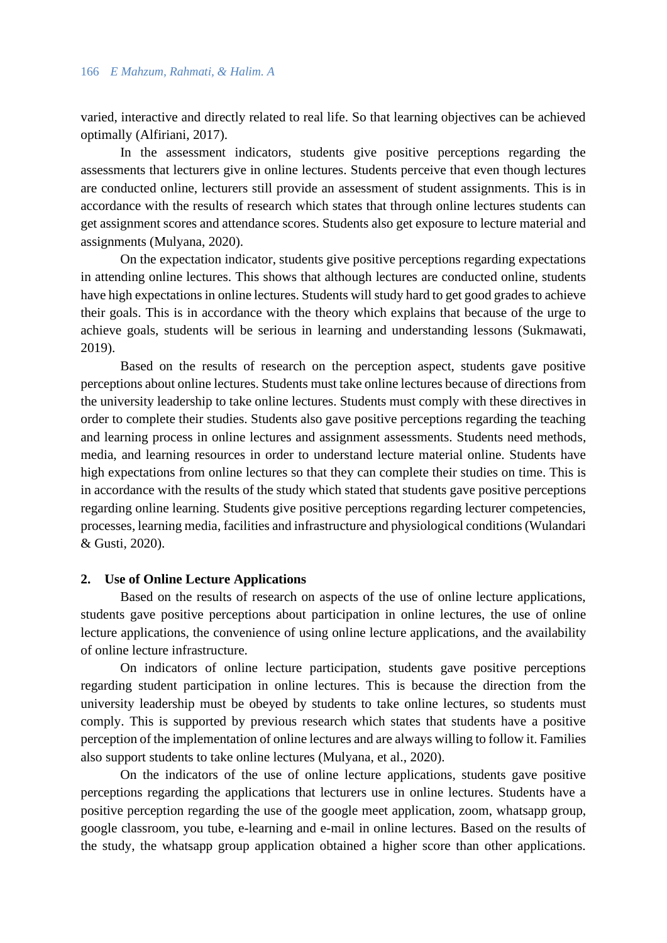varied, interactive and directly related to real life. So that learning objectives can be achieved optimally (Alfiriani, 2017).

In the assessment indicators, students give positive perceptions regarding the assessments that lecturers give in online lectures. Students perceive that even though lectures are conducted online, lecturers still provide an assessment of student assignments. This is in accordance with the results of research which states that through online lectures students can get assignment scores and attendance scores. Students also get exposure to lecture material and assignments (Mulyana, 2020).

On the expectation indicator, students give positive perceptions regarding expectations in attending online lectures. This shows that although lectures are conducted online, students have high expectations in online lectures. Students will study hard to get good grades to achieve their goals. This is in accordance with the theory which explains that because of the urge to achieve goals, students will be serious in learning and understanding lessons (Sukmawati, 2019).

Based on the results of research on the perception aspect, students gave positive perceptions about online lectures. Students must take online lectures because of directions from the university leadership to take online lectures. Students must comply with these directives in order to complete their studies. Students also gave positive perceptions regarding the teaching and learning process in online lectures and assignment assessments. Students need methods, media, and learning resources in order to understand lecture material online. Students have high expectations from online lectures so that they can complete their studies on time. This is in accordance with the results of the study which stated that students gave positive perceptions regarding online learning. Students give positive perceptions regarding lecturer competencies, processes, learning media, facilities and infrastructure and physiological conditions (Wulandari & Gusti, 2020).

#### **2. Use of Online Lecture Applications**

Based on the results of research on aspects of the use of online lecture applications, students gave positive perceptions about participation in online lectures, the use of online lecture applications, the convenience of using online lecture applications, and the availability of online lecture infrastructure.

On indicators of online lecture participation, students gave positive perceptions regarding student participation in online lectures. This is because the direction from the university leadership must be obeyed by students to take online lectures, so students must comply. This is supported by previous research which states that students have a positive perception of the implementation of online lectures and are always willing to follow it. Families also support students to take online lectures (Mulyana, et al., 2020).

On the indicators of the use of online lecture applications, students gave positive perceptions regarding the applications that lecturers use in online lectures. Students have a positive perception regarding the use of the google meet application, zoom, whatsapp group, google classroom, you tube, e-learning and e-mail in online lectures. Based on the results of the study, the whatsapp group application obtained a higher score than other applications.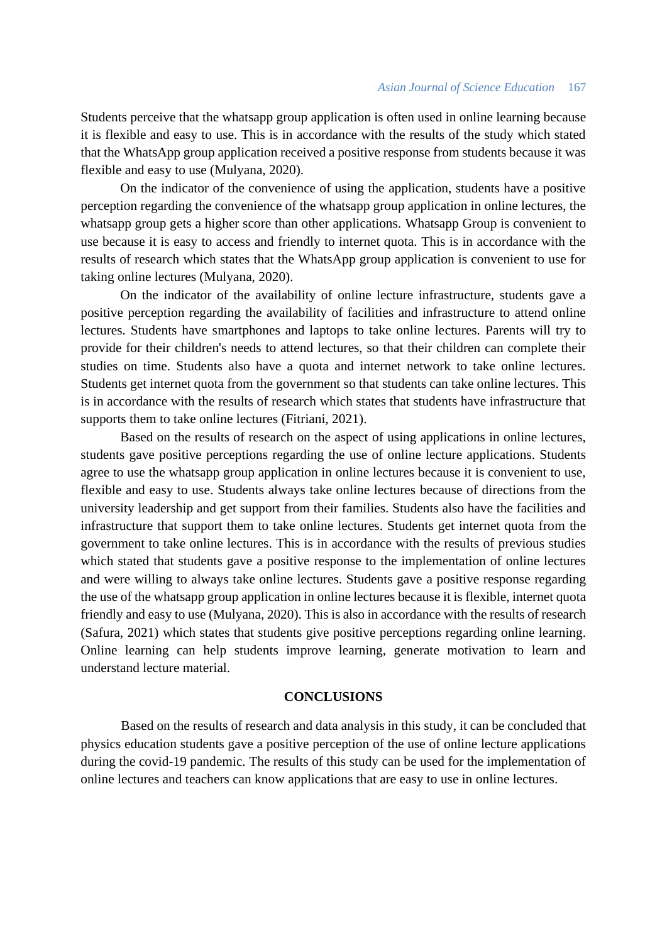#### *Asian Journal of Science Education* 167

Students perceive that the whatsapp group application is often used in online learning because it is flexible and easy to use. This is in accordance with the results of the study which stated that the WhatsApp group application received a positive response from students because it was flexible and easy to use (Mulyana, 2020).

On the indicator of the convenience of using the application, students have a positive perception regarding the convenience of the whatsapp group application in online lectures, the whatsapp group gets a higher score than other applications. Whatsapp Group is convenient to use because it is easy to access and friendly to internet quota. This is in accordance with the results of research which states that the WhatsApp group application is convenient to use for taking online lectures (Mulyana, 2020).

On the indicator of the availability of online lecture infrastructure, students gave a positive perception regarding the availability of facilities and infrastructure to attend online lectures. Students have smartphones and laptops to take online lectures. Parents will try to provide for their children's needs to attend lectures, so that their children can complete their studies on time. Students also have a quota and internet network to take online lectures. Students get internet quota from the government so that students can take online lectures. This is in accordance with the results of research which states that students have infrastructure that supports them to take online lectures (Fitriani, 2021).

Based on the results of research on the aspect of using applications in online lectures, students gave positive perceptions regarding the use of online lecture applications. Students agree to use the whatsapp group application in online lectures because it is convenient to use, flexible and easy to use. Students always take online lectures because of directions from the university leadership and get support from their families. Students also have the facilities and infrastructure that support them to take online lectures. Students get internet quota from the government to take online lectures. This is in accordance with the results of previous studies which stated that students gave a positive response to the implementation of online lectures and were willing to always take online lectures. Students gave a positive response regarding the use of the whatsapp group application in online lectures because it is flexible, internet quota friendly and easy to use (Mulyana, 2020). This is also in accordance with the results of research (Safura, 2021) which states that students give positive perceptions regarding online learning. Online learning can help students improve learning, generate motivation to learn and understand lecture material.

## **CONCLUSIONS**

Based on the results of research and data analysis in this study, it can be concluded that physics education students gave a positive perception of the use of online lecture applications during the covid-19 pandemic. The results of this study can be used for the implementation of online lectures and teachers can know applications that are easy to use in online lectures.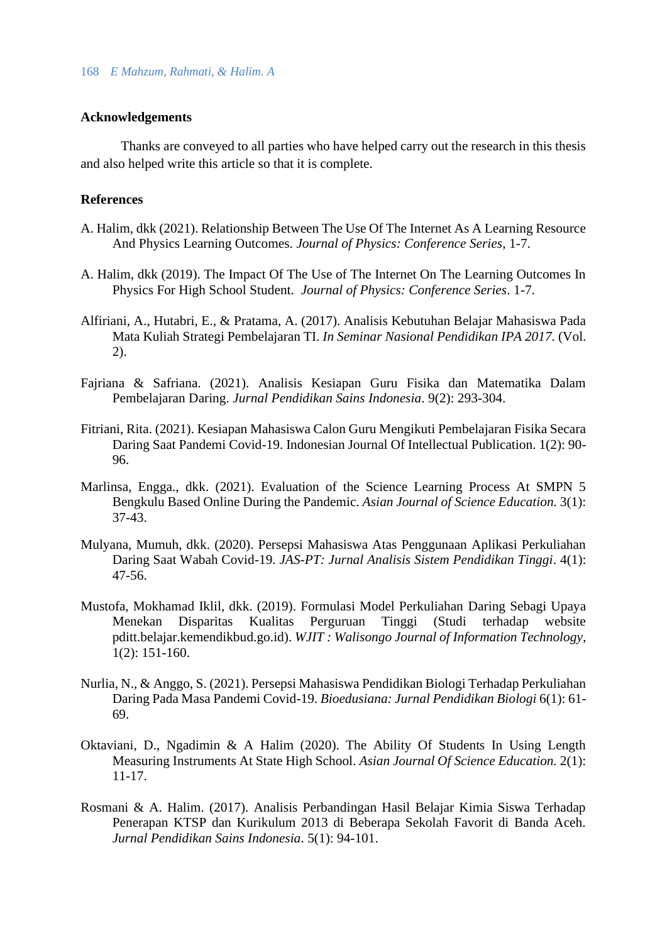## **Acknowledgements**

Thanks are conveyed to all parties who have helped carry out the research in this thesis and also helped write this article so that it is complete.

## **References**

- A. Halim, dkk (2021). Relationship Between The Use Of The Internet As A Learning Resource And Physics Learning Outcomes. *Journal of Physics: Conference Series*, 1-7.
- A. Halim, dkk (2019). The Impact Of The Use of The Internet On The Learning Outcomes In Physics For High School Student. *Journal of Physics: Conference Series*. 1-7.
- Alfiriani, A., Hutabri, E., & Pratama, A. (2017). Analisis Kebutuhan Belajar Mahasiswa Pada Mata Kuliah Strategi Pembelajaran TI. *In Seminar Nasional Pendidikan IPA 2017.* (Vol. 2).
- Fajriana & Safriana. (2021). Analisis Kesiapan Guru Fisika dan Matematika Dalam Pembelajaran Daring. *Jurnal Pendidikan Sains Indonesia*. 9(2): 293-304.
- Fitriani, Rita. (2021). Kesiapan Mahasiswa Calon Guru Mengikuti Pembelajaran Fisika Secara Daring Saat Pandemi Covid-19. Indonesian Journal Of Intellectual Publication. 1(2): 90- 96.
- Marlinsa, Engga., dkk. (2021). Evaluation of the Science Learning Process At SMPN 5 Bengkulu Based Online During the Pandemic. *Asian Journal of Science Education.* 3(1): 37-43.
- Mulyana, Mumuh, dkk. (2020). Persepsi Mahasiswa Atas Penggunaan Aplikasi Perkuliahan Daring Saat Wabah Covid-19. *JAS-PT: Jurnal Analisis Sistem Pendidikan Tinggi*. 4(1): 47-56.
- Mustofa, Mokhamad Iklil, dkk. (2019). Formulasi Model Perkuliahan Daring Sebagi Upaya Menekan Disparitas Kualitas Perguruan Tinggi (Studi terhadap website pditt.belajar.kemendikbud.go.id). *WJIT : Walisongo Journal of Information Technology,* 1(2): 151-160.
- Nurlia, N., & Anggo, S. (2021). Persepsi Mahasiswa Pendidikan Biologi Terhadap Perkuliahan Daring Pada Masa Pandemi Covid-19. *Bioedusiana: Jurnal Pendidikan Biologi* 6(1): 61- 69.
- Oktaviani, D., Ngadimin & A Halim (2020). The Ability Of Students In Using Length Measuring Instruments At State High School. *Asian Journal Of Science Education.* 2(1): 11-17.
- Rosmani & A. Halim. (2017). Analisis Perbandingan Hasil Belajar Kimia Siswa Terhadap Penerapan KTSP dan Kurikulum 2013 di Beberapa Sekolah Favorit di Banda Aceh. *Jurnal Pendidikan Sains Indonesia*. 5(1): 94-101.